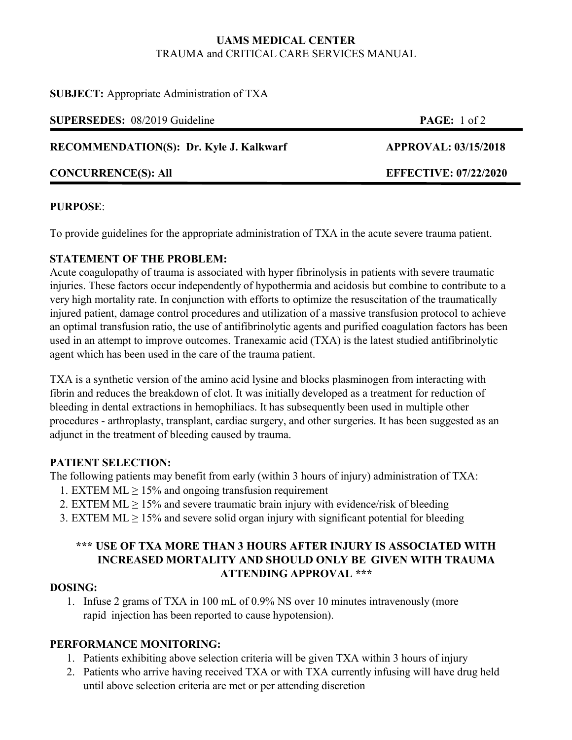## **UAMS MEDICAL CENTER** TRAUMA and CRITICAL CARE SERVICES MANUAL

| <b>SUBJECT:</b> Appropriate Administration of TXA |
|---------------------------------------------------|
|---------------------------------------------------|

| <b>SUPERSEDES:</b> 08/2019 Guideline           | PAGE: 1 of 2                 |
|------------------------------------------------|------------------------------|
| <b>RECOMMENDATION(S): Dr. Kyle J. Kalkwarf</b> | <b>APPROVAL: 03/15/2018</b>  |
| <b>CONCURRENCE(S): All</b>                     | <b>EFFECTIVE: 07/22/2020</b> |

## **PURPOSE**:

To provide guidelines for the appropriate administration of TXA in the acute severe trauma patient.

## **STATEMENT OF THE PROBLEM:**

Acute coagulopathy of trauma is associated with hyper fibrinolysis in patients with severe traumatic injuries. These factors occur independently of hypothermia and acidosis but combine to contribute to a very high mortality rate. In conjunction with efforts to optimize the resuscitation of the traumatically injured patient, damage control procedures and utilization of a massive transfusion protocol to achieve an optimal transfusion ratio, the use of antifibrinolytic agents and purified coagulation factors has been used in an attempt to improve outcomes. Tranexamic acid (TXA) is the latest studied antifibrinolytic agent which has been used in the care of the trauma patient.

TXA is a synthetic version of the amino acid lysine and blocks plasminogen from interacting with fibrin and reduces the breakdown of clot. It was initially developed as a treatment for reduction of bleeding in dental extractions in hemophiliacs. It has subsequently been used in multiple other procedures - arthroplasty, transplant, cardiac surgery, and other surgeries. It has been suggested as an adjunct in the treatment of bleeding caused by trauma.

## **PATIENT SELECTION:**

The following patients may benefit from early (within 3 hours of injury) administration of TXA:

- 1. EXTEM  $ML \ge 15\%$  and ongoing transfusion requirement
- 2. EXTEM  $ML \ge 15\%$  and severe traumatic brain injury with evidence/risk of bleeding
- 3. EXTEM  $ML \ge 15\%$  and severe solid organ injury with significant potential for bleeding

## **\*\*\* USE OF TXA MORE THAN 3 HOURS AFTER INJURY IS ASSOCIATED WITH INCREASED MORTALITY AND SHOULD ONLY BE GIVEN WITH TRAUMA ATTENDING APPROVAL \*\*\***

## **DOSING:**

1. Infuse 2 grams of TXA in 100 mL of 0.9% NS over 10 minutes intravenously (more rapid injection has been reported to cause hypotension).

## **PERFORMANCE MONITORING:**

- 1. Patients exhibiting above selection criteria will be given TXA within 3 hours of injury
- 2. Patients who arrive having received TXA or with TXA currently infusing will have drug held until above selection criteria are met or per attending discretion